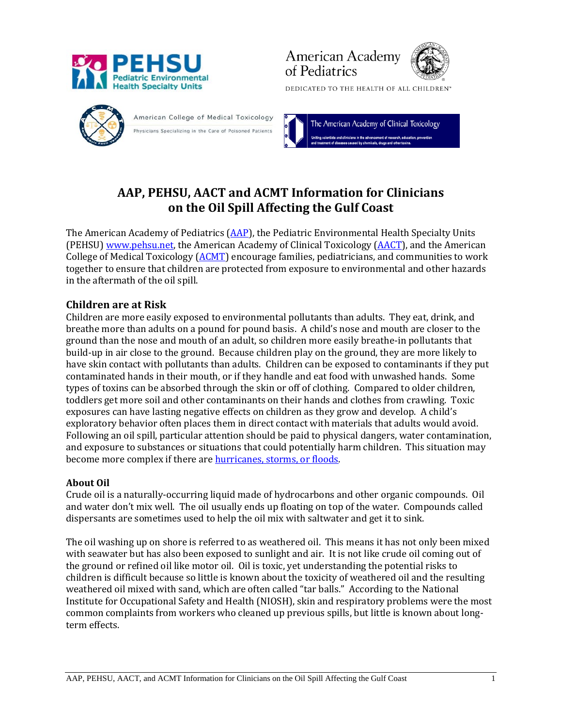





DEDICATED TO THE HEALTH OF ALL CHILDREN™



American College of Medical Toxicology Physicians Specializing in the Care of Poisoned Patients

The American Academy of Clinical Toxicology sts and clinicians in the adv

# **AAP, PEHSU, AACT and ACMT Information for Clinicians on the Oil Spill Affecting the Gulf Coast**

The American Academy of Pediatrics [\(AAP\)](http://www.aap.org/), the Pediatric Environmental Health Specialty Units (PEHSU[\) www.pehsu.net,](http://www.pehsu.net/) the American Academy of Clinical Toxicology [\(AACT\)](http://www.clintox.org/), and the American College of Medical Toxicology [\(ACMT\)](http://www.acmt.net/) encourage families, pediatricians, and communities to work together to ensure that children are protected from exposure to environmental and other hazards in the aftermath of the oil spill.

# **Children are at Risk**

Children are more easily exposed to environmental pollutants than adults. They eat, drink, and breathe more than adults on a pound for pound basis. A child's nose and mouth are closer to the ground than the nose and mouth of an adult, so children more easily breathe-in pollutants that build-up in air close to the ground. Because children play on the ground, they are more likely to have skin contact with pollutants than adults. Children can be exposed to contaminants if they put contaminated hands in their mouth, or if they handle and eat food with unwashed hands. Some types of toxins can be absorbed through the skin or off of clothing. Compared to older children, toddlers get more soil and other contaminants on their hands and clothes from crawling. Toxic exposures can have lasting negative effects on children as they grow and develop. A child's exploratory behavior often places them in direct contact with materials that adults would avoid. Following an oil spill, particular attention should be paid to physical dangers, water contamination, and exposure to substances or situations that could potentially harm children. This situation may become more complex if there are **hurricanes**, storms, or floods.

# **About Oil**

Crude oil is a naturally-occurring liquid made of hydrocarbons and other organic compounds. Oil and water don't mix well. The oil usually ends up floating on top of the water. Compounds called dispersants are sometimes used to help the oil mix with saltwater and get it to sink.

The oil washing up on shore is referred to as weathered oil. This means it has not only been mixed with seawater but has also been exposed to sunlight and air. It is not like crude oil coming out of the ground or refined oil like motor oil. Oil is toxic, yet understanding the potential risks to children is difficult because so little is known about the toxicity of weathered oil and the resulting weathered oil mixed with sand, which are often called "tar balls." According to the National Institute for Occupational Safety and Health (NIOSH), skin and respiratory problems were the most common complaints from workers who cleaned up previous spills, but little is known about longterm effects.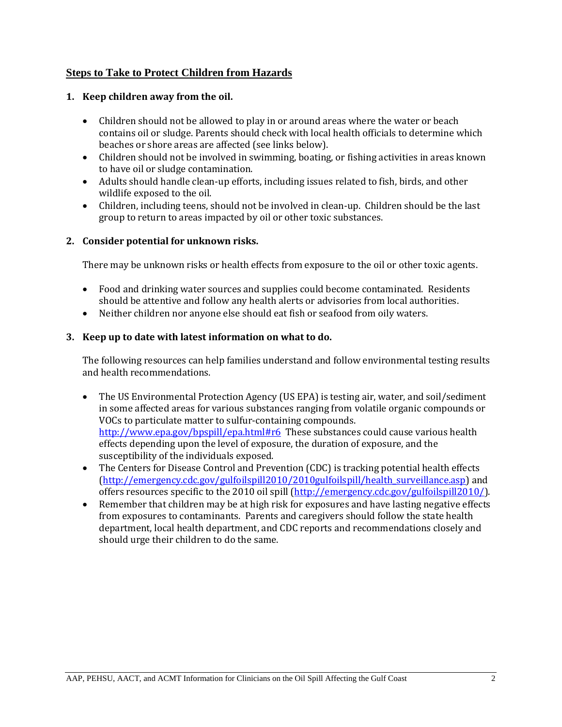### **Steps to Take to Protect Children from Hazards**

#### **1. Keep children away from the oil.**

- Children should not be allowed to play in or around areas where the water or beach contains oil or sludge. Parents should check with local health officials to determine which beaches or shore areas are affected (see links below).
- Children should not be involved in swimming, boating, or fishing activities in areas known to have oil or sludge contamination.
- Adults should handle clean-up efforts, including issues related to fish, birds, and other wildlife exposed to the oil.
- Children, including teens, should not be involved in clean-up. Children should be the last group to return to areas impacted by oil or other toxic substances.

#### **2. Consider potential for unknown risks.**

There may be unknown risks or health effects from exposure to the oil or other toxic agents.

- Food and drinking water sources and supplies could become contaminated. Residents should be attentive and follow any health alerts or advisories from local authorities.
- Neither children nor anyone else should eat fish or seafood from oily waters.

#### **3. Keep up to date with latest information on what to do.**

The following resources can help families understand and follow environmental testing results and health recommendations.

- The US Environmental Protection Agency (US EPA) is testing air, water, and soil/sediment in some affected areas for various substances ranging from volatile organic compounds or VOCs to particulate matter to sulfur-containing compounds. <http://www.epa.gov/bpspill/epa.html#r6>These substances could cause various health effects depending upon the level of exposure, the duration of exposure, and the susceptibility of the individuals exposed.
- The Centers for Disease Control and Prevention (CDC) is tracking potential health effects [\(http://emergency.cdc.gov/gulfoilspill2010/2010gulfoilspill/health\\_surveillance.asp\)](http://emergency.cdc.gov/gulfoilspill2010/2010gulfoilspill/health_surveillance.asp) and offers resources specific to the 2010 oil spill [\(http://emergency.cdc.gov/gulfoilspill2010/\)](http://emergency.cdc.gov/gulfoilspill2010/?s_cid=ccu062110_003).
- Remember that children may be at high risk for exposures and have lasting negative effects from exposures to contaminants. Parents and caregivers should follow the state health department, local health department, and CDC reports and recommendations closely and should urge their children to do the same.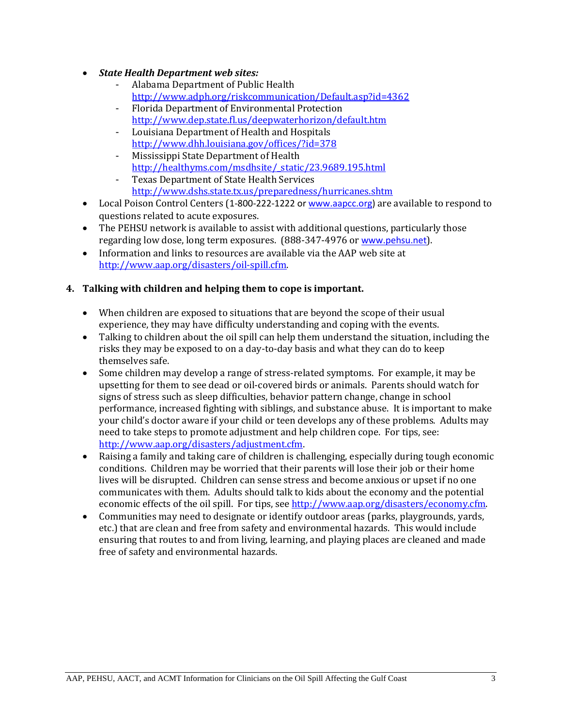- *State Health Department web sites:*
	- Alabama Department of Public Health <http://www.adph.org/riskcommunication/Default.asp?id=4362>
	- Florida Department of Environmental Protection <http://www.dep.state.fl.us/deepwaterhorizon/default.htm>
	- Louisiana Department of Health and Hospitals <http://www.dhh.louisiana.gov/offices/?id=378>
	- Mississippi State Department of Health [http://healthyms.com/msdhsite/\\_static/23.9689.195.html](http://healthyms.com/msdhsite/_static/23.9689.195.html)
	- Texas Department of State Health Services <http://www.dshs.state.tx.us/preparedness/hurricanes.shtm>
- Local Poison Control Centers (1-800-222-1222 or [www.aapcc.org\)](http://www.aapcc.org/) are available to respond to questions related to acute exposures.
- The PEHSU network is available to assist with additional questions, particularly those regarding low dose, long term exposures. (888-347-4976 or [www.pehsu.net](http://www.pehsu.net/)).
- Information and links to resources are available via the AAP web site at [http://www.aap.org/disasters/oil-spill.cfm.](http://www.aap.org/disasters/oil-spill.cfm)

## **4. Talking with children and helping them to cope is important.**

- When children are exposed to situations that are beyond the scope of their usual experience, they may have difficulty understanding and coping with the events.
- Talking to children about the oil spill can help them understand the situation, including the risks they may be exposed to on a day-to-day basis and what they can do to keep themselves safe.
- Some children may develop a range of stress-related symptoms. For example, it may be upsetting for them to see dead or oil-covered birds or animals. Parents should watch for signs of stress such as sleep difficulties, behavior pattern change, change in school performance, increased fighting with siblings, and substance abuse. It is important to make your child's doctor aware if your child or teen develops any of these problems. Adults may need to take steps to promote adjustment and help children cope. For tips, see: [http://www.aap.org/disasters/adjustment.cfm.](http://www.aap.org/disasters/adjustment.cfm)
- Raising a family and taking care of children is challenging, especially during tough economic conditions. Children may be worried that their parents will lose their job or their home lives will be disrupted. Children can sense stress and become anxious or upset if no one communicates with them. Adults should talk to kids about the economy and the potential economic effects of the oil spill. For tips, see http://www.aap.org/disasters/economy.cfm.
- Communities may need to designate or identify outdoor areas (parks, playgrounds, yards, etc.) that are clean and free from safety and environmental hazards. This would include ensuring that routes to and from living, learning, and playing places are cleaned and made free of safety and environmental hazards.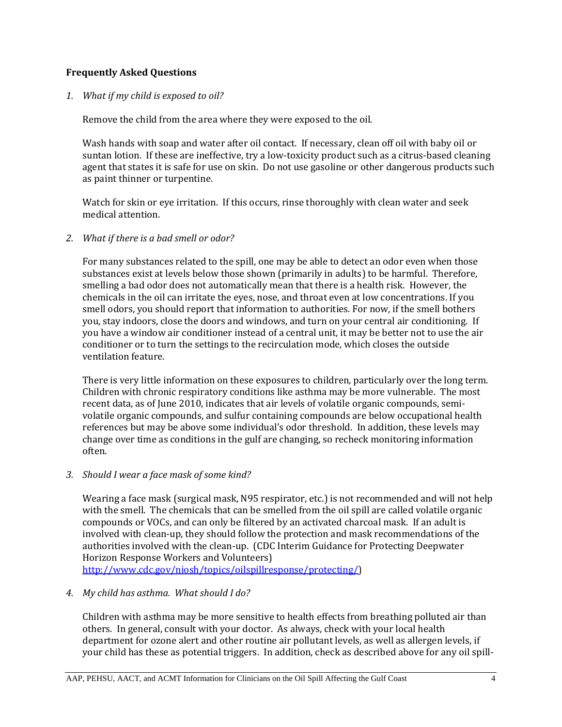#### **Frequently Asked Questions**

*1. What if my child is exposed to oil?* 

Remove the child from the area where they were exposed to the oil.

Wash hands with soap and water after oil contact. If necessary, clean off oil with baby oil or suntan lotion. If these are ineffective, try a low-toxicity product such as a citrus-based cleaning agent that states it is safe for use on skin. Do not use gasoline or other dangerous products such as paint thinner or turpentine.

Watch for skin or eye irritation. If this occurs, rinse thoroughly with clean water and seek medical attention.

*2. What if there is a bad smell or odor?* 

For many substances related to the spill, one may be able to detect an odor even when those substances exist at levels below those shown (primarily in adults) to be harmful. Therefore, smelling a bad odor does not automatically mean that there is a health risk. However, the chemicals in the oil can irritate the eyes, nose, and throat even at low concentrations. If you smell odors, you should report that information to authorities. For now, if the smell bothers you, stay indoors, close the doors and windows, and turn on your central air conditioning. If you have a window air conditioner instead of a central unit, it may be better not to use the air conditioner or to turn the settings to the recirculation mode, which closes the outside ventilation feature.

There is very little information on these exposures to children, particularly over the long term. Children with chronic respiratory conditions like asthma may be more vulnerable. The most recent data, as of June 2010, indicates that air levels of volatile organic compounds, semivolatile organic compounds, and sulfur containing compounds are below occupational health references but may be above some individual's odor threshold. In addition, these levels may change over time as conditions in the gulf are changing, so recheck monitoring information often.

#### *3. Should I wear a face mask of some kind?*

Wearing a face mask (surgical mask, N95 respirator, etc.) is not recommended and will not help with the smell. The chemicals that can be smelled from the oil spill are called volatile organic compounds or VOCs, and can only be filtered by an activated charcoal mask. If an adult is involved with clean-up, they should follow the protection and mask recommendations of the authorities involved with the clean-up. (CDC Interim Guidance for Protecting Deepwater Horizon Response Workers and Volunteers)

[http://www.cdc.gov/niosh/topics/oilspillresponse/protecting/\)](http://www.cdc.gov/niosh/topics/oilspillresponse/protecting/)

#### *4. My child has asthma. What should I do?*

Children with asthma may be more sensitive to health effects from breathing polluted air than others. In general, consult with your doctor. As always, check with your local health department for ozone alert and other routine air pollutant levels, as well as allergen levels, if your child has these as potential triggers. In addition, check as described above for any oil spill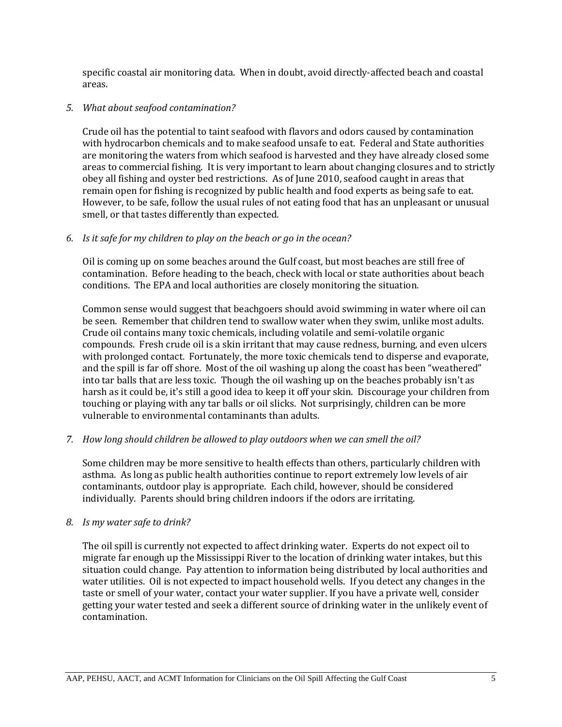specific coastal air monitoring data. When in doubt, avoid directly-affected beach and coastal areas.

#### *5. What about seafood contamination?*

Crude oil has the potential to taint seafood with flavors and odors caused by contamination with hydrocarbon chemicals and to make seafood unsafe to eat. Federal and State authorities are monitoring the waters from which seafood is harvested and they have already closed some areas to commercial fishing. It is very important to learn about changing closures and to strictly obey all fishing and oyster bed restrictions. As of June 2010, seafood caught in areas that remain open for fishing is recognized by public health and food experts as being safe to eat. However, to be safe, follow the usual rules of not eating food that has an unpleasant or unusual smell, or that tastes differently than expected.

#### *6. Is it safe for my children to play on the beach or go in the ocean?*

Oil is coming up on some beaches around the Gulf coast, but most beaches are still free of contamination. Before heading to the beach, check with local or state authorities about beach conditions. The EPA and local authorities are closely monitoring the situation.

Common sense would suggest that beachgoers should avoid swimming in water where oil can be seen. Remember that children tend to swallow water when they swim, unlike most adults. Crude oil contains many toxic chemicals, including volatile and semi-volatile organic compounds. Fresh crude oil is a skin irritant that may cause redness, burning, and even ulcers with prolonged contact. Fortunately, the more toxic chemicals tend to disperse and evaporate, and the spill is far off shore. Most of the oil washing up along the coast has been "weathered" into tar balls that are less toxic. Though the oil washing up on the beaches probably isn't as harsh as it could be, it's still a good idea to keep it off your skin. Discourage your children from touching or playing with any tar balls or oil slicks. Not surprisingly, children can be more vulnerable to environmental contaminants than adults.

### *7. How long should children be allowed to play outdoors when we can smell the oil?*

Some children may be more sensitive to health effects than others, particularly children with asthma. As long as public health authorities continue to report extremely low levels of air contaminants, outdoor play is appropriate. Each child, however, should be considered individually. Parents should bring children indoors if the odors are irritating.

#### *8. Is my water safe to drink?*

The oil spill is currently not expected to affect drinking water. Experts do not expect oil to migrate far enough up the Mississippi River to the location of drinking water intakes, but this situation could change. Pay attention to information being distributed by local authorities and water utilities. Oil is not expected to impact household wells. If you detect any changes in the taste or smell of your water, contact your water supplier. If you have a private well, consider getting your water tested and seek a different source of drinking water in the unlikely event of contamination.